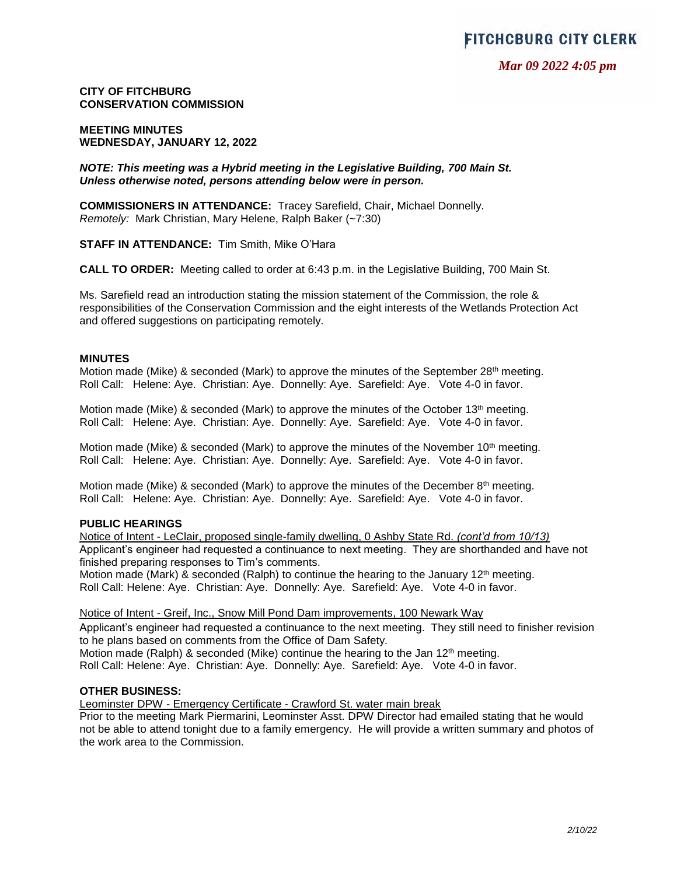*Mar 09 2022 4:05 pm*

**CITY OF FITCHBURG CONSERVATION COMMISSION**

**MEETING MINUTES WEDNESDAY, JANUARY 12, 2022**

*NOTE: This meeting was a Hybrid meeting in the Legislative Building, 700 Main St. Unless otherwise noted, persons attending below were in person.*

**COMMISSIONERS IN ATTENDANCE:** Tracey Sarefield, Chair, Michael Donnelly. *Remotely:* Mark Christian, Mary Helene, Ralph Baker (~7:30)

**STAFF IN ATTENDANCE:** Tim Smith, Mike O'Hara

**CALL TO ORDER:** Meeting called to order at 6:43 p.m. in the Legislative Building, 700 Main St.

Ms. Sarefield read an introduction stating the mission statement of the Commission, the role & responsibilities of the Conservation Commission and the eight interests of the Wetlands Protection Act and offered suggestions on participating remotely.

#### **MINUTES**

Motion made (Mike) & seconded (Mark) to approve the minutes of the September  $28<sup>th</sup>$  meeting. Roll Call: Helene: Aye. Christian: Aye. Donnelly: Aye. Sarefield: Aye. Vote 4-0 in favor.

Motion made (Mike) & seconded (Mark) to approve the minutes of the October 13<sup>th</sup> meeting. Roll Call: Helene: Aye. Christian: Aye. Donnelly: Aye. Sarefield: Aye. Vote 4-0 in favor.

Motion made (Mike) & seconded (Mark) to approve the minutes of the November 10<sup>th</sup> meeting. Roll Call: Helene: Aye. Christian: Aye. Donnelly: Aye. Sarefield: Aye. Vote 4-0 in favor.

Motion made (Mike) & seconded (Mark) to approve the minutes of the December 8th meeting. Roll Call: Helene: Aye. Christian: Aye. Donnelly: Aye. Sarefield: Aye. Vote 4-0 in favor.

## **PUBLIC HEARINGS**

Notice of Intent - LeClair, proposed single-family dwelling, 0 Ashby State Rd. *(cont'd from 10/13)* Applicant's engineer had requested a continuance to next meeting. They are shorthanded and have not finished preparing responses to Tim's comments.

Motion made (Mark) & seconded (Ralph) to continue the hearing to the January 12<sup>th</sup> meeting. Roll Call: Helene: Aye. Christian: Aye. Donnelly: Aye. Sarefield: Aye. Vote 4-0 in favor.

Notice of Intent - Greif, Inc., Snow Mill Pond Dam improvements, 100 Newark Way

Applicant's engineer had requested a continuance to the next meeting. They still need to finisher revision to he plans based on comments from the Office of Dam Safety.

Motion made (Ralph) & seconded (Mike) continue the hearing to the Jan  $12<sup>th</sup>$  meeting. Roll Call: Helene: Aye. Christian: Aye. Donnelly: Aye. Sarefield: Aye. Vote 4-0 in favor.

#### **OTHER BUSINESS:**

Leominster DPW - Emergency Certificate - Crawford St. water main break

Prior to the meeting Mark Piermarini, Leominster Asst. DPW Director had emailed stating that he would not be able to attend tonight due to a family emergency. He will provide a written summary and photos of the work area to the Commission.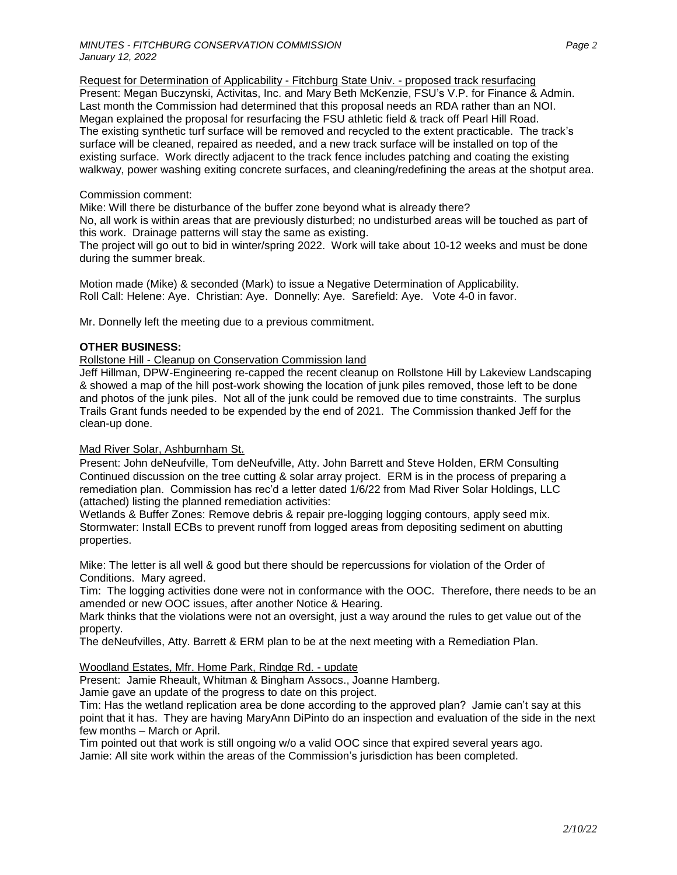Request for Determination of Applicability - Fitchburg State Univ. - proposed track resurfacing Present: Megan Buczynski, Activitas, Inc. and Mary Beth McKenzie, FSU's V.P. for Finance & Admin. Last month the Commission had determined that this proposal needs an RDA rather than an NOI. Megan explained the proposal for resurfacing the FSU athletic field & track off Pearl Hill Road. The existing synthetic turf surface will be removed and recycled to the extent practicable. The track's surface will be cleaned, repaired as needed, and a new track surface will be installed on top of the existing surface. Work directly adjacent to the track fence includes patching and coating the existing walkway, power washing exiting concrete surfaces, and cleaning/redefining the areas at the shotput area.

# Commission comment:

Mike: Will there be disturbance of the buffer zone beyond what is already there?

No, all work is within areas that are previously disturbed; no undisturbed areas will be touched as part of this work. Drainage patterns will stay the same as existing.

The project will go out to bid in winter/spring 2022. Work will take about 10-12 weeks and must be done during the summer break.

Motion made (Mike) & seconded (Mark) to issue a Negative Determination of Applicability. Roll Call: Helene: Aye. Christian: Aye. Donnelly: Aye. Sarefield: Aye. Vote 4-0 in favor.

Mr. Donnelly left the meeting due to a previous commitment.

# **OTHER BUSINESS:**

## Rollstone Hill - Cleanup on Conservation Commission land

Jeff Hillman, DPW-Engineering re-capped the recent cleanup on Rollstone Hill by Lakeview Landscaping & showed a map of the hill post-work showing the location of junk piles removed, those left to be done and photos of the junk piles. Not all of the junk could be removed due to time constraints. The surplus Trails Grant funds needed to be expended by the end of 2021. The Commission thanked Jeff for the clean-up done.

# Mad River Solar, Ashburnham St.

Present: John deNeufville, Tom deNeufville, Atty. John Barrett and Steve Holden, ERM Consulting Continued discussion on the tree cutting & solar array project. ERM is in the process of preparing a remediation plan. Commission has rec'd a letter dated 1/6/22 from Mad River Solar Holdings, LLC (attached) listing the planned remediation activities:

Wetlands & Buffer Zones: Remove debris & repair pre-logging logging contours, apply seed mix. Stormwater: Install ECBs to prevent runoff from logged areas from depositing sediment on abutting properties.

Mike: The letter is all well & good but there should be repercussions for violation of the Order of Conditions. Mary agreed.

Tim: The logging activities done were not in conformance with the OOC. Therefore, there needs to be an amended or new OOC issues, after another Notice & Hearing.

Mark thinks that the violations were not an oversight, just a way around the rules to get value out of the property.

The deNeufvilles, Atty. Barrett & ERM plan to be at the next meeting with a Remediation Plan.

## Woodland Estates, Mfr. Home Park, Rindge Rd. - update

Present: Jamie Rheault, Whitman & Bingham Assocs., Joanne Hamberg.

Jamie gave an update of the progress to date on this project.

Tim: Has the wetland replication area be done according to the approved plan? Jamie can't say at this point that it has. They are having MaryAnn DiPinto do an inspection and evaluation of the side in the next few months – March or April.

Tim pointed out that work is still ongoing w/o a valid OOC since that expired several years ago. Jamie: All site work within the areas of the Commission's jurisdiction has been completed.